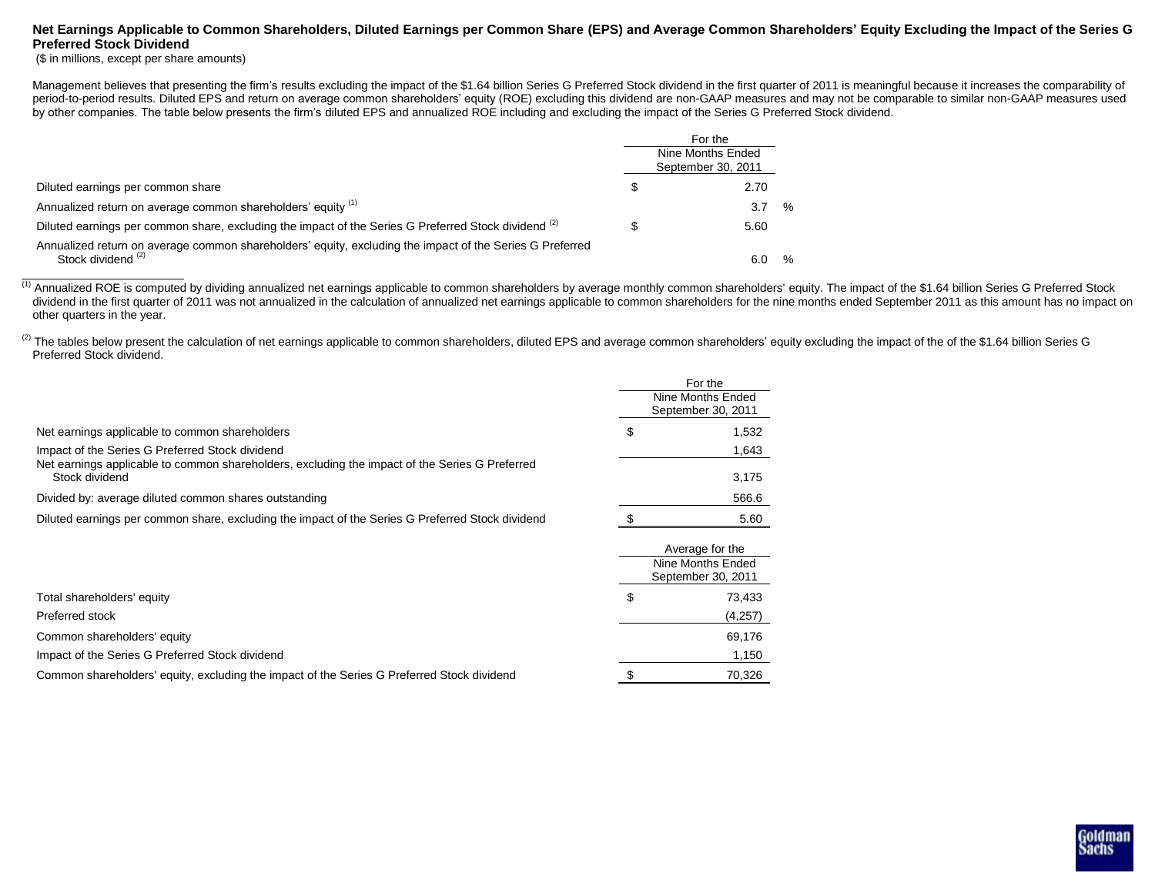## **Net Earnings Applicable to Common Shareholders, Diluted Earnings per Common Share (EPS) and Average Common Shareholders' Equity Excluding the Impact of the Series G Preferred Stock Dividend**

(\$ in millions, except per share amounts)

 $\_$ 

Management believes that presenting the firm's results excluding the impact of the \$1.64 billion Series G Preferred Stock dividend in the first quarter of 2011 is meaningful because it increases the comparability of period-to-period results. Diluted EPS and return on average common shareholders' equity (ROE) excluding this dividend are non-GAAP measures and may not be comparable to similar non-GAAP measures used by other companies. The table below presents the firm's diluted EPS and annualized ROE including and excluding the impact of the Series G Preferred Stock dividend.

|                                                                                                                                           | For the                                 |               |
|-------------------------------------------------------------------------------------------------------------------------------------------|-----------------------------------------|---------------|
|                                                                                                                                           | Nine Months Ended<br>September 30, 2011 |               |
| Diluted earnings per common share                                                                                                         | 2.70                                    |               |
| Annualized return on average common shareholders' equity (1)                                                                              | 3.7                                     | $\%$          |
| Diluted earnings per common share, excluding the impact of the Series G Preferred Stock dividend (2)                                      | 5.60                                    |               |
| Annualized return on average common shareholders' equity, excluding the impact of the Series G Preferred<br>Stock dividend <sup>(2)</sup> |                                         | $\frac{0}{6}$ |

<sup>(1)</sup> Annualized ROE is computed by dividing annualized net earnings applicable to common shareholders by average monthly common shareholders' equity. The impact of the \$1.64 billion Series G Preferred Stock dividend in the first quarter of 2011 was not annualized in the calculation of annualized net earnings applicable to common shareholders for the nine months ended September 2011 as this amount has no impact on other quarters in the year.

(2) The tables below present the calculation of net earnings applicable to common shareholders, diluted EPS and average common shareholders' equity excluding the impact of the of the \$1.64 billion Series G Preferred Stock dividend.

|                                                                                                                                                   |                                         | For the                                                    |  |
|---------------------------------------------------------------------------------------------------------------------------------------------------|-----------------------------------------|------------------------------------------------------------|--|
|                                                                                                                                                   | Nine Months Ended<br>September 30, 2011 |                                                            |  |
| Net earnings applicable to common shareholders                                                                                                    | S                                       | 1,532                                                      |  |
| Impact of the Series G Preferred Stock dividend<br>Net earnings applicable to common shareholders, excluding the impact of the Series G Preferred |                                         | 1,643                                                      |  |
| Stock dividend                                                                                                                                    |                                         | 3,175                                                      |  |
| Divided by: average diluted common shares outstanding                                                                                             |                                         | 566.6                                                      |  |
| Diluted earnings per common share, excluding the impact of the Series G Preferred Stock dividend                                                  |                                         | 5.60                                                       |  |
|                                                                                                                                                   |                                         | Average for the<br>Nine Months Ended<br>September 30, 2011 |  |
| Total shareholders' equity                                                                                                                        | \$                                      | 73,433                                                     |  |
| Preferred stock                                                                                                                                   |                                         | (4,257)                                                    |  |
| Common shareholders' equity                                                                                                                       |                                         | 69,176                                                     |  |
| Impact of the Series G Preferred Stock dividend                                                                                                   |                                         | 1,150                                                      |  |
| Common shareholders' equity, excluding the impact of the Series G Preferred Stock dividend                                                        |                                         | 70,326                                                     |  |

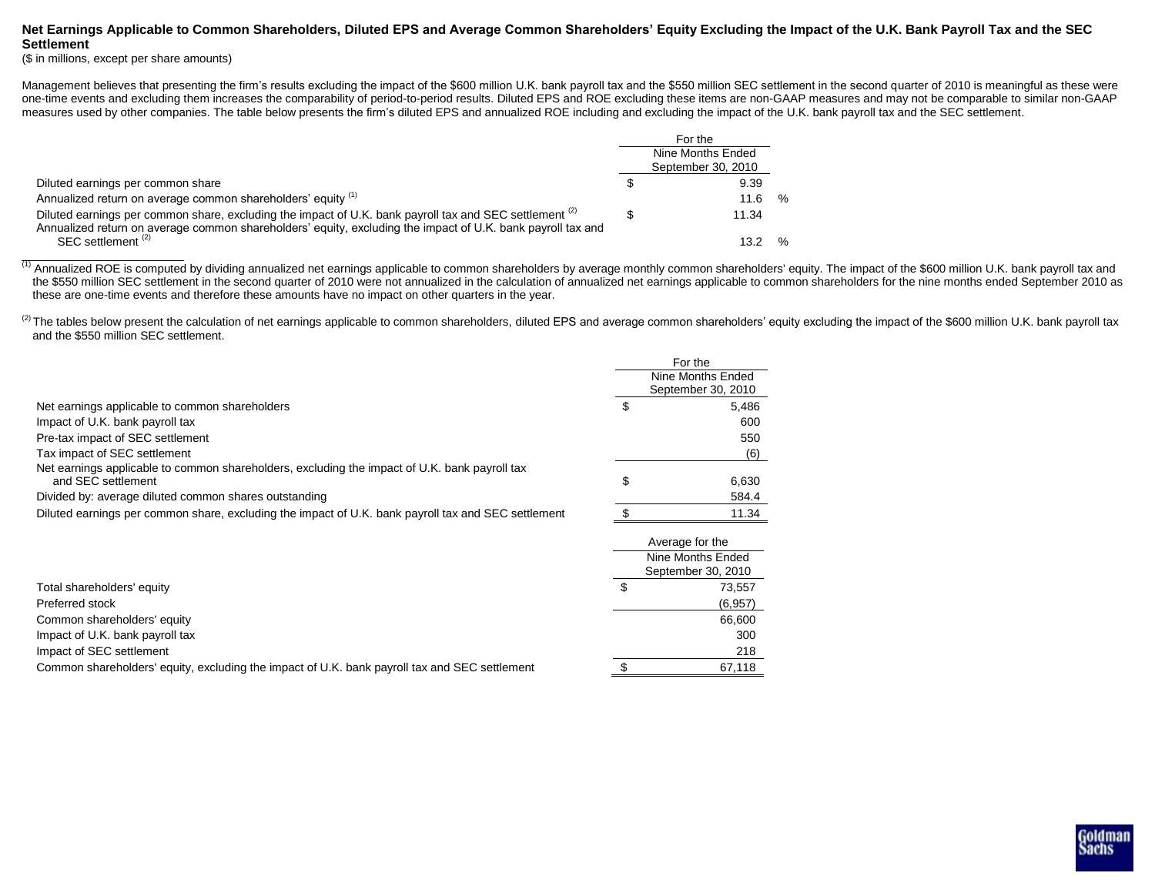### **Net Earnings Applicable to Common Shareholders, Diluted EPS and Average Common Shareholders' Equity Excluding the Impact of the U.K. Bank Payroll Tax and the SEC Settlement**

(\$ in millions, except per share amounts)

Management believes that presenting the firm's results excluding the impact of the \$600 million U.K. bank payroll tax and the \$550 million SEC settlement in the second quarter of 2010 is meaningful as these were one-time events and excluding them increases the comparability of period-to-period results. Diluted EPS and ROE excluding these items are non-GAAP measures and may not be comparable to similar non-GAAP measures used by other companies. The table below presents the firm's diluted EPS and annualized ROE including and excluding the impact of the U.K. bank payroll tax and the SEC settlement.

|                                                                                                                                                                                                                        |                   | For the            |      |
|------------------------------------------------------------------------------------------------------------------------------------------------------------------------------------------------------------------------|-------------------|--------------------|------|
|                                                                                                                                                                                                                        | Nine Months Ended |                    |      |
|                                                                                                                                                                                                                        |                   | September 30, 2010 |      |
| Diluted earnings per common share                                                                                                                                                                                      |                   | 9.39               |      |
| Annualized return on average common shareholders' equity (1)                                                                                                                                                           |                   | 11.6               | %    |
| Diluted earnings per common share, excluding the impact of U.K. bank payroll tax and SEC settlement (2)<br>Annualized return on average common shareholders' equity, excluding the impact of U.K. bank payroll tax and |                   | 11.34              |      |
| SEC settlement <sup>(2)</sup>                                                                                                                                                                                          |                   | 13.2               | $\%$ |

(1) Annualized ROE is computed by dividing annualized net earnings applicable to common shareholders by average monthly common shareholders' equity. The impact of the \$600 million U.K. bank payroll tax and the \$550 million SEC settlement in the second quarter of 2010 were not annualized in the calculation of annualized net earnings applicable to common shareholders for the nine months ended September 2010 as these are one-time events and therefore these amounts have no impact on other quarters in the year.

 $^{(2)}$  The tables below present the calculation of net earnings applicable to common shareholders, diluted EPS and average common shareholders' equity excluding the impact of the \$600 million U.K. bank payroll tax and the \$550 million SEC settlement.

|                                                                                                                     | For the |                                         |  |  |
|---------------------------------------------------------------------------------------------------------------------|---------|-----------------------------------------|--|--|
|                                                                                                                     |         | Nine Months Ended<br>September 30, 2010 |  |  |
| Net earnings applicable to common shareholders                                                                      | \$      | 5,486                                   |  |  |
| Impact of U.K. bank payroll tax                                                                                     |         | 600                                     |  |  |
| Pre-tax impact of SEC settlement                                                                                    |         | 550                                     |  |  |
| Tax impact of SEC settlement                                                                                        |         | (6)                                     |  |  |
| Net earnings applicable to common shareholders, excluding the impact of U.K. bank payroll tax<br>and SEC settlement | \$      | 6,630                                   |  |  |
| Divided by: average diluted common shares outstanding                                                               |         | 584.4                                   |  |  |
| Diluted earnings per common share, excluding the impact of U.K. bank payroll tax and SEC settlement                 |         | 11.34                                   |  |  |
|                                                                                                                     |         | Average for the                         |  |  |
|                                                                                                                     |         | Nine Months Ended                       |  |  |
|                                                                                                                     |         | September 30, 2010                      |  |  |
| Total shareholders' equity                                                                                          | \$      | 73,557                                  |  |  |
| Preferred stock                                                                                                     |         | (6, 957)                                |  |  |
| Common shareholders' equity                                                                                         |         | 66,600                                  |  |  |
| Impact of U.K. bank payroll tax                                                                                     |         | 300                                     |  |  |
| Impact of SEC settlement                                                                                            |         | 218                                     |  |  |
| Common shareholders' equity, excluding the impact of U.K. bank payroll tax and SEC settlement                       | \$      | 67,118                                  |  |  |

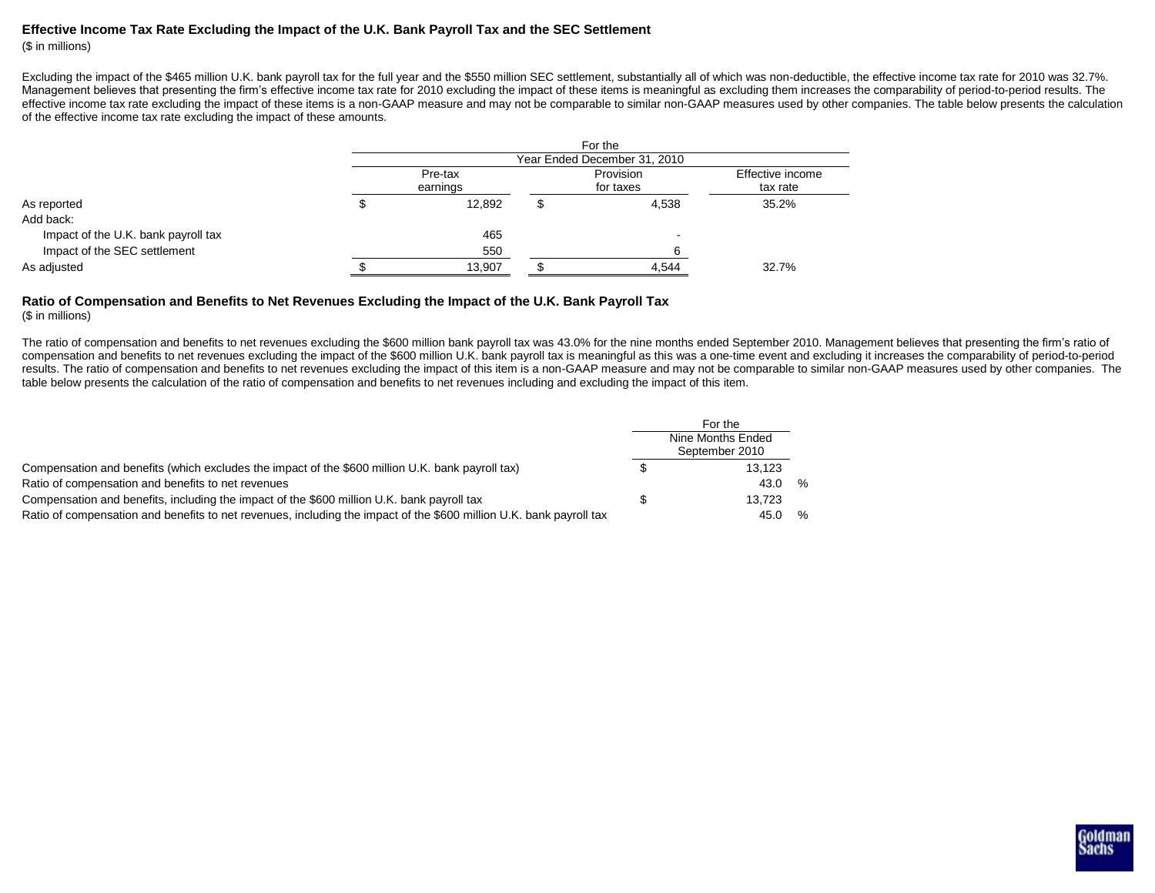# **Effective Income Tax Rate Excluding the Impact of the U.K. Bank Payroll Tax and the SEC Settlement**

(\$ in millions)

Excluding the impact of the \$465 million U.K. bank payroll tax for the full year and the \$550 million SEC settlement, substantially all of which was non-deductible, the effective income tax rate for 2010 was 32.7%. Management believes that presenting the firm's effective income tax rate for 2010 excluding the impact of these items is meaningful as excluding them increases the comparability of period-to-period results. The effective income tax rate excluding the impact of these items is a non-GAAP measure and may not be comparable to similar non-GAAP measures used by other companies. The table below presents the calculation of the effective income tax rate excluding the impact of these amounts.

|                                     | For the                      |          |  |           |                  |  |  |  |  |  |
|-------------------------------------|------------------------------|----------|--|-----------|------------------|--|--|--|--|--|
|                                     | Year Ended December 31, 2010 |          |  |           |                  |  |  |  |  |  |
|                                     |                              | Pre-tax  |  | Provision | Effective income |  |  |  |  |  |
|                                     |                              | earnings |  | for taxes | tax rate         |  |  |  |  |  |
| As reported                         |                              | 12.892   |  | 4,538     | 35.2%            |  |  |  |  |  |
| Add back:                           |                              |          |  |           |                  |  |  |  |  |  |
| Impact of the U.K. bank payroll tax |                              | 465      |  |           |                  |  |  |  |  |  |
| Impact of the SEC settlement        |                              | 550      |  |           |                  |  |  |  |  |  |
| As adjusted                         |                              | 13,907   |  | 4,544     | 32.7%            |  |  |  |  |  |

#### **Ratio of Compensation and Benefits to Net Revenues Excluding the Impact of the U.K. Bank Payroll Tax** (\$ in millions)

The ratio of compensation and benefits to net revenues excluding the \$600 million bank payroll tax was 43.0% for the nine months ended September 2010. Management believes that presenting the firm's ratio of compensation and benefits to net revenues excluding the impact of the \$600 million U.K. bank payroll tax is meaningful as this was a one-time event and excluding it increases the comparability of period-to-period results. The ratio of compensation and benefits to net revenues excluding the impact of this item is a non-GAAP measure and may not be comparable to similar non-GAAP measures used by other companies. The table below presents the calculation of the ratio of compensation and benefits to net revenues including and excluding the impact of this item.

|                                                                                                                     |  | For the<br>Nine Months Ended<br>September 2010 |   |
|---------------------------------------------------------------------------------------------------------------------|--|------------------------------------------------|---|
| Compensation and benefits (which excludes the impact of the \$600 million U.K. bank payroll tax)                    |  | 13.123                                         |   |
| Ratio of compensation and benefits to net revenues                                                                  |  | 43.0                                           | % |
| Compensation and benefits, including the impact of the \$600 million U.K. bank payroll tax                          |  | 13.723                                         |   |
| Ratio of compensation and benefits to net revenues, including the impact of the \$600 million U.K. bank payroll tax |  | 45.0                                           | % |

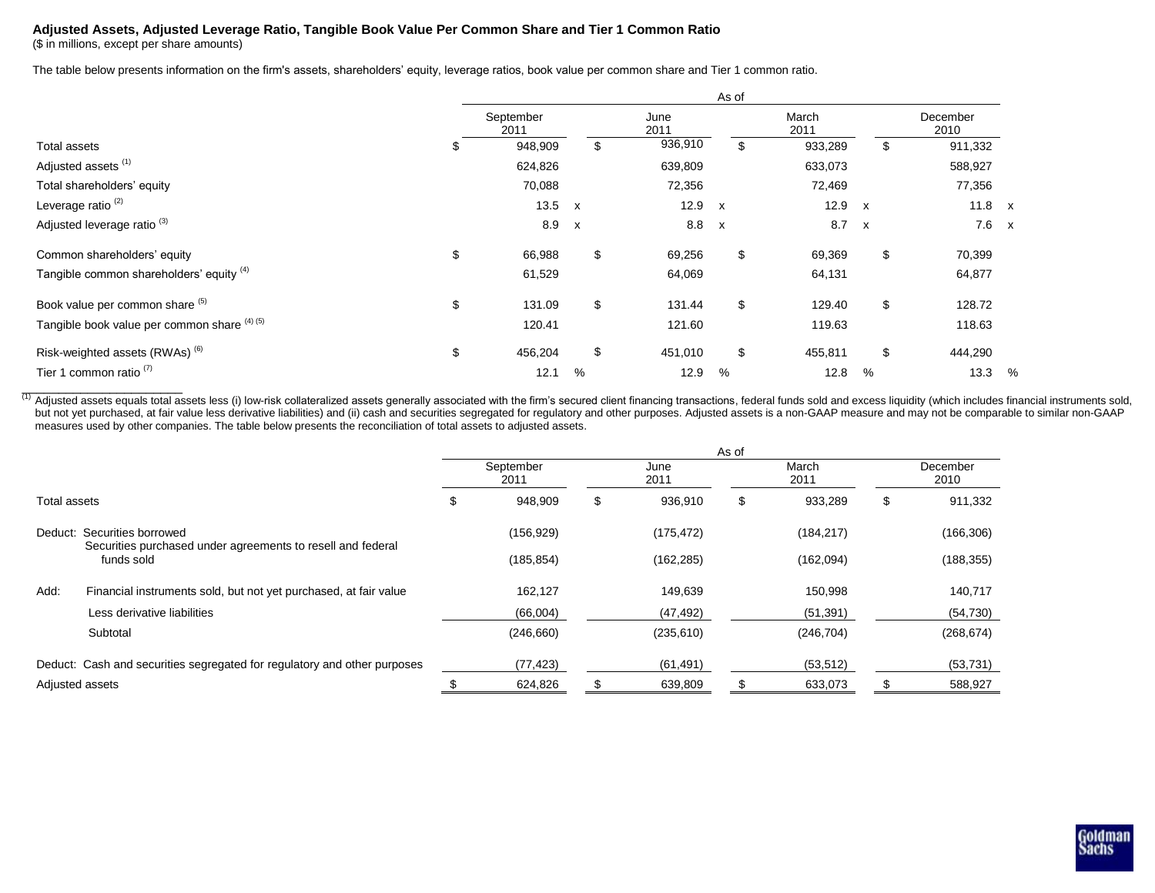## **Adjusted Assets, Adjusted Leverage Ratio, Tangible Book Value Per Common Share and Tier 1 Common Ratio**

(\$ in millions, except per share amounts)

The table below presents information on the firm's assets, shareholders' equity, leverage ratios, book value per common share and Tier 1 common ratio.

|                                                  | As of             |              |              |              |               |              |                  |   |  |
|--------------------------------------------------|-------------------|--------------|--------------|--------------|---------------|--------------|------------------|---|--|
|                                                  | September<br>2011 |              | June<br>2011 |              | March<br>2011 |              | December<br>2010 |   |  |
| \$<br>Total assets                               | 948,909           | \$           | 936,910      | \$           | 933,289       | \$           | 911,332          |   |  |
| Adjusted assets <sup>(1)</sup>                   | 624,826           |              | 639,809      |              | 633,073       |              | 588,927          |   |  |
| Total shareholders' equity                       | 70,088            |              | 72,356       |              | 72,469        |              | 77,356           |   |  |
| Leverage ratio <sup>(2)</sup>                    | 13.5              | $\mathsf{x}$ | 12.9         | $\mathsf{x}$ | 12.9          | $\mathsf{x}$ | 11.8 $x$         |   |  |
| Adjusted leverage ratio <sup>(3)</sup>           | 8.9               | $\mathsf{x}$ | 8.8          | $\mathsf{x}$ | 8.7           | $\mathsf{x}$ | $7.6 \times$     |   |  |
| \$<br>Common shareholders' equity                | 66,988            | \$           | 69,256       | \$           | 69,369        | \$           | 70,399           |   |  |
| Tangible common shareholders' equity (4)         | 61,529            |              | 64,069       |              | 64,131        |              | 64,877           |   |  |
| Book value per common share (5)<br>\$            | 131.09            | \$           | 131.44       | \$           | 129.40        | \$           | 128.72           |   |  |
| Tangible book value per common share (4) (5)     | 120.41            |              | 121.60       |              | 119.63        |              | 118.63           |   |  |
| Risk-weighted assets (RWAs) <sup>(6)</sup><br>\$ | 456,204           | \$           | 451,010      | \$           | 455,811       | \$           | 444,290          |   |  |
| Tier 1 common ratio <sup>(7)</sup>               | 12.1              | %            | 12.9         | %            | 12.8          | %            | 13.3             | % |  |

<sup>(1)</sup> Adjusted assets equals total assets less (i) low-risk collateralized assets generally associated with the firm's secured client financing transactions, federal funds sold and excess liquidity (which includes financia but not yet purchased, at fair value less derivative liabilities) and (ii) cash and securities segregated for regulatory and other purposes. Adjusted assets is a non-GAAP measure and may not be comparable to similar non-GA measures used by other companies. The table below presents the reconciliation of total assets to adjusted assets.

|                 |                                                                                            | As of             |            |              |            |               |            |                  |            |
|-----------------|--------------------------------------------------------------------------------------------|-------------------|------------|--------------|------------|---------------|------------|------------------|------------|
|                 |                                                                                            | September<br>2011 |            | June<br>2011 |            | March<br>2011 |            | December<br>2010 |            |
| Total assets    |                                                                                            | \$                | 948,909    | \$           | 936,910    | S             | 933,289    | \$               | 911,332    |
|                 | Deduct: Securities borrowed<br>Securities purchased under agreements to resell and federal |                   | (156, 929) |              | (175, 472) |               | (184, 217) |                  | (166, 306) |
|                 | funds sold                                                                                 |                   | (185, 854) |              | (162, 285) |               | (162,094)  |                  | (188, 355) |
| Add:            | Financial instruments sold, but not yet purchased, at fair value                           |                   | 162,127    |              | 149,639    |               | 150,998    |                  | 140,717    |
|                 | Less derivative liabilities                                                                |                   | (66,004)   |              | (47, 492)  |               | (51, 391)  |                  | (54, 730)  |
|                 | Subtotal                                                                                   |                   | (246, 660) |              | (235, 610) |               | (246, 704) |                  | (268, 674) |
|                 | Deduct: Cash and securities segregated for regulatory and other purposes                   |                   | (77, 423)  |              | (61, 491)  |               | (53, 512)  |                  | (53, 731)  |
| Adjusted assets |                                                                                            |                   | 624,826    |              | 639,809    |               | 633,073    |                  | 588,927    |